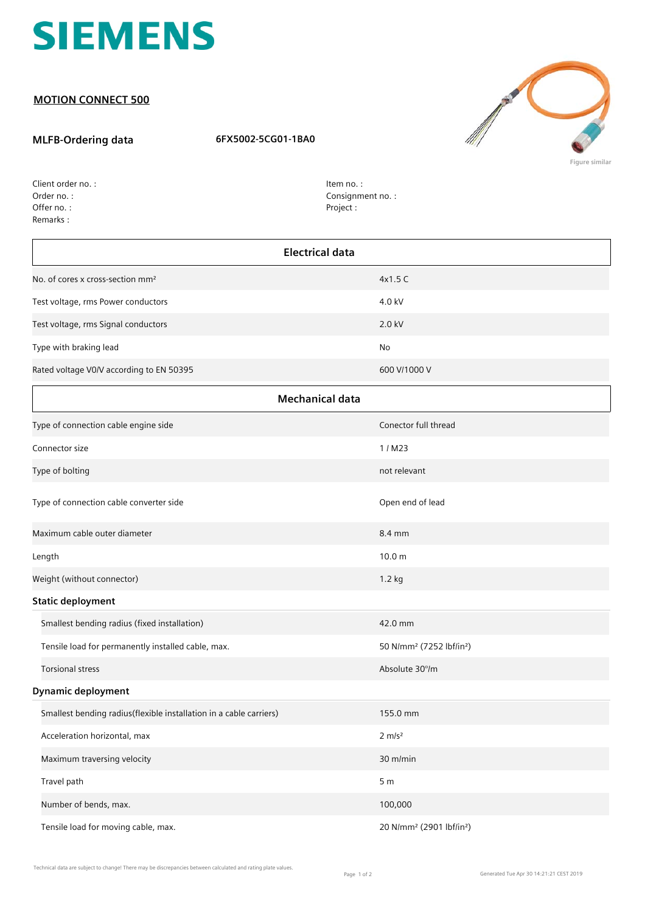

## **MOTION CONNECT 500**

## **MLFB-Ordering data 6FX5002-5CG01-1BA0**



**Figure similar**

| Client order no.: |
|-------------------|
| Order no.:        |
| Offer no.:        |
| Remarks:          |

Item no. : Consignment no. : Project :

| <b>Electrical data</b>                                             |                                                  |  |
|--------------------------------------------------------------------|--------------------------------------------------|--|
| No. of cores x cross-section mm <sup>2</sup>                       | 4x1.5 C                                          |  |
| Test voltage, rms Power conductors                                 | 4.0 kV                                           |  |
| Test voltage, rms Signal conductors                                | 2.0 kV                                           |  |
| Type with braking lead                                             | No                                               |  |
| Rated voltage V0/V according to EN 50395                           | 600 V/1000 V                                     |  |
| <b>Mechanical data</b>                                             |                                                  |  |
| Type of connection cable engine side                               | Conector full thread                             |  |
| Connector size                                                     | 1/M23                                            |  |
| Type of bolting                                                    | not relevant                                     |  |
| Type of connection cable converter side                            | Open end of lead                                 |  |
| Maximum cable outer diameter                                       | 8.4 mm                                           |  |
| Length                                                             | 10.0 <sub>m</sub>                                |  |
| Weight (without connector)                                         | 1.2 kg                                           |  |
| <b>Static deployment</b>                                           |                                                  |  |
| Smallest bending radius (fixed installation)                       | 42.0 mm                                          |  |
| Tensile load for permanently installed cable, max.                 | 50 N/mm <sup>2</sup> (7252 lbf/in <sup>2</sup> ) |  |
| <b>Torsional stress</b>                                            | Absolute 30°/m                                   |  |
| <b>Dynamic deployment</b>                                          |                                                  |  |
| Smallest bending radius(flexible installation in a cable carriers) | 155.0 mm                                         |  |
| Acceleration horizontal, max                                       | $2 \, \text{m/s}^2$                              |  |
| Maximum traversing velocity                                        | 30 m/min                                         |  |
| Travel path                                                        | 5 <sub>m</sub>                                   |  |
| Number of bends, max.                                              | 100,000                                          |  |
| Tensile load for moving cable, max.                                | 20 N/mm <sup>2</sup> (2901 lbf/in <sup>2</sup> ) |  |